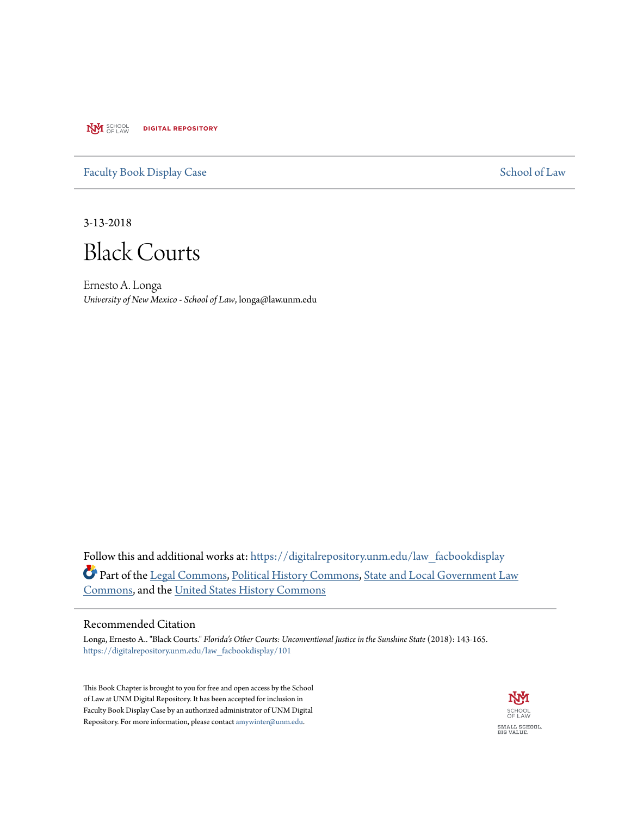**NVI** SCHOOL **DIGITAL REPOSITORY** 

[Faculty Book Display Case](https://digitalrepository.unm.edu/law_facbookdisplay?utm_source=digitalrepository.unm.edu%2Flaw_facbookdisplay%2F101&utm_medium=PDF&utm_campaign=PDFCoverPages) [School of Law](https://digitalrepository.unm.edu/law?utm_source=digitalrepository.unm.edu%2Flaw_facbookdisplay%2F101&utm_medium=PDF&utm_campaign=PDFCoverPages)

3-13-2018

Black Courts

Ernesto A. Longa *University of New Mexico - School of Law*, longa@law.unm.edu

Follow this and additional works at: [https://digitalrepository.unm.edu/law\\_facbookdisplay](https://digitalrepository.unm.edu/law_facbookdisplay?utm_source=digitalrepository.unm.edu%2Flaw_facbookdisplay%2F101&utm_medium=PDF&utm_campaign=PDFCoverPages) Part of the [Legal Commons](http://network.bepress.com/hgg/discipline/502?utm_source=digitalrepository.unm.edu%2Flaw_facbookdisplay%2F101&utm_medium=PDF&utm_campaign=PDFCoverPages), [Political History Commons,](http://network.bepress.com/hgg/discipline/505?utm_source=digitalrepository.unm.edu%2Flaw_facbookdisplay%2F101&utm_medium=PDF&utm_campaign=PDFCoverPages) [State and Local Government Law](http://network.bepress.com/hgg/discipline/879?utm_source=digitalrepository.unm.edu%2Flaw_facbookdisplay%2F101&utm_medium=PDF&utm_campaign=PDFCoverPages) [Commons,](http://network.bepress.com/hgg/discipline/879?utm_source=digitalrepository.unm.edu%2Flaw_facbookdisplay%2F101&utm_medium=PDF&utm_campaign=PDFCoverPages) and the [United States History Commons](http://network.bepress.com/hgg/discipline/495?utm_source=digitalrepository.unm.edu%2Flaw_facbookdisplay%2F101&utm_medium=PDF&utm_campaign=PDFCoverPages)

## Recommended Citation

Longa, Ernesto A.. "Black Courts." *Florida's Other Courts: Unconventional Justice in the Sunshine State* (2018): 143-165. [https://digitalrepository.unm.edu/law\\_facbookdisplay/101](https://digitalrepository.unm.edu/law_facbookdisplay/101?utm_source=digitalrepository.unm.edu%2Flaw_facbookdisplay%2F101&utm_medium=PDF&utm_campaign=PDFCoverPages)

This Book Chapter is brought to you for free and open access by the School of Law at UNM Digital Repository. It has been accepted for inclusion in Faculty Book Display Case by an authorized administrator of UNM Digital Repository. For more information, please contact [amywinter@unm.edu](mailto:amywinter@unm.edu).